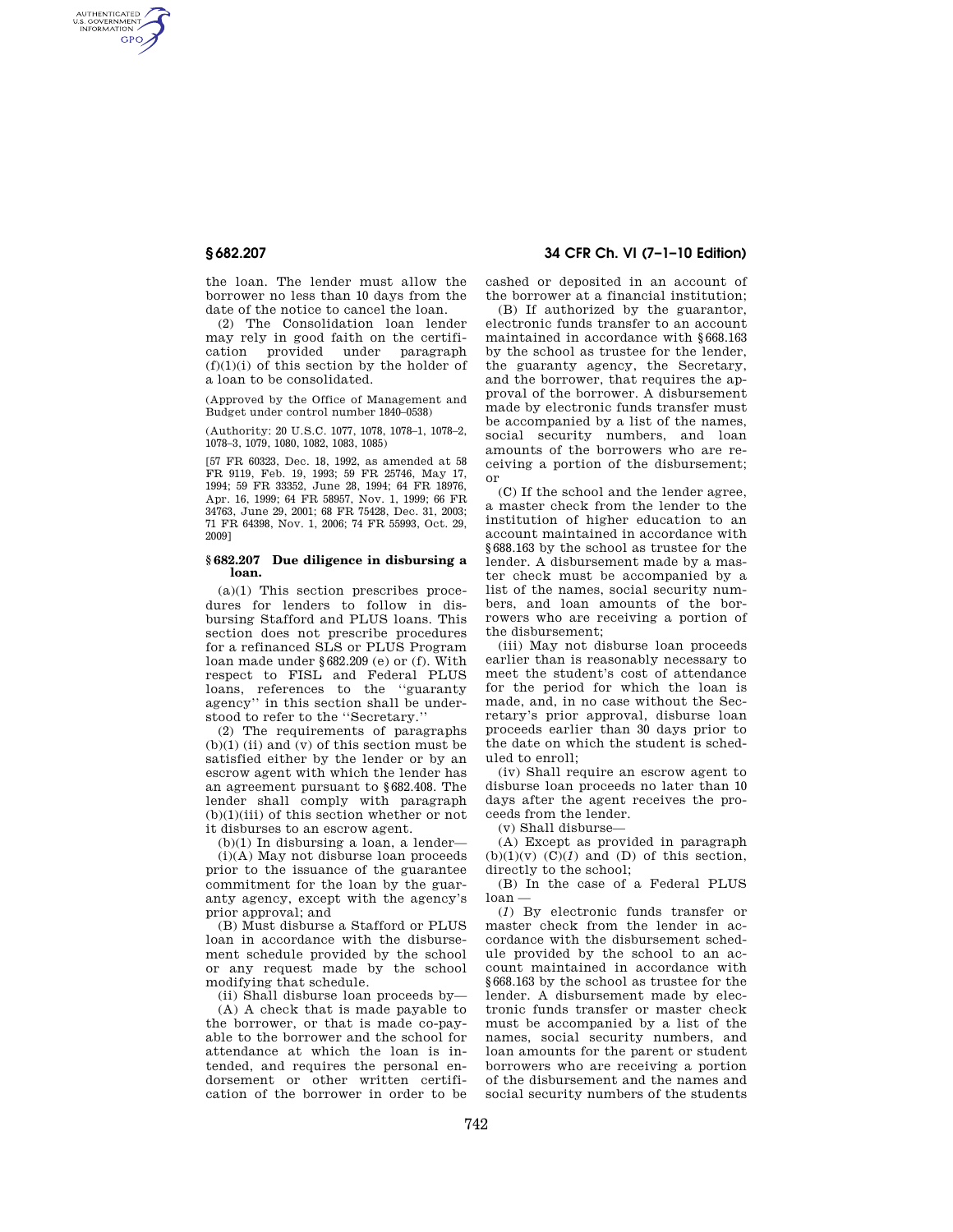AUTHENTICATED<br>U.S. GOVERNMENT<br>INFORMATION **GPO** 

> the loan. The lender must allow the borrower no less than 10 days from the date of the notice to cancel the loan.

(2) The Consolidation loan lender may rely in good faith on the certification provided under paragraph  $(f)(1)(i)$  of this section by the holder of a loan to be consolidated.

(Approved by the Office of Management and Budget under control number 1840–0538)

(Authority: 20 U.S.C. 1077, 1078, 1078–1, 1078–2, 1078–3, 1079, 1080, 1082, 1083, 1085)

[57 FR 60323, Dec. 18, 1992, as amended at 58 FR 9119, Feb. 19, 1993; 59 FR 25746, May 17, 1994; 59 FR 33352, June 28, 1994; 64 FR 18976, Apr. 16, 1999; 64 FR 58957, Nov. 1, 1999; 66 FR 34763, June 29, 2001; 68 FR 75428, Dec. 31, 2003; 71 FR 64398, Nov. 1, 2006; 74 FR 55993, Oct. 29, 2009]

## **§ 682.207 Due diligence in disbursing a loan.**

(a)(1) This section prescribes procedures for lenders to follow in disbursing Stafford and PLUS loans. This section does not prescribe procedures for a refinanced SLS or PLUS Program loan made under §682.209 (e) or (f). With respect to FISL and Federal PLUS loans, references to the ''guaranty agency'' in this section shall be understood to refer to the ''Secretary.''

(2) The requirements of paragraphs  $(b)(1)$  (ii) and  $(v)$  of this section must be satisfied either by the lender or by an escrow agent with which the lender has an agreement pursuant to §682.408. The lender shall comply with paragraph  $(b)(1)(iii)$  of this section whether or not it disburses to an escrow agent.

(b)(1) In disbursing a loan, a lender—

(i)(A) May not disburse loan proceeds prior to the issuance of the guarantee commitment for the loan by the guaranty agency, except with the agency's prior approval; and

(B) Must disburse a Stafford or PLUS loan in accordance with the disbursement schedule provided by the school or any request made by the school modifying that schedule.

(ii) Shall disburse loan proceeds by— (A) A check that is made payable to the borrower, or that is made co-payable to the borrower and the school for attendance at which the loan is intended, and requires the personal endorsement or other written certification of the borrower in order to be

# **§ 682.207 34 CFR Ch. VI (7–1–10 Edition)**

cashed or deposited in an account of the borrower at a financial institution;

(B) If authorized by the guarantor, electronic funds transfer to an account maintained in accordance with §668.163 by the school as trustee for the lender, the guaranty agency, the Secretary, and the borrower, that requires the approval of the borrower. A disbursement made by electronic funds transfer must be accompanied by a list of the names, social security numbers, and loan amounts of the borrowers who are receiving a portion of the disbursement; or

(C) If the school and the lender agree, a master check from the lender to the institution of higher education to an account maintained in accordance with §688.163 by the school as trustee for the lender. A disbursement made by a master check must be accompanied by a list of the names, social security numbers, and loan amounts of the borrowers who are receiving a portion of the disbursement;

(iii) May not disburse loan proceeds earlier than is reasonably necessary to meet the student's cost of attendance for the period for which the loan is made, and, in no case without the Secretary's prior approval, disburse loan proceeds earlier than 30 days prior to the date on which the student is scheduled to enroll;

(iv) Shall require an escrow agent to disburse loan proceeds no later than 10 days after the agent receives the proceeds from the lender.

(v) Shall disburse—

(A) Except as provided in paragraph  $(b)(1)(v)$   $(C)(1)$  and  $(D)$  of this section, directly to the school;

(B) In the case of a Federal PLUS  $l<sub>o</sub>$ an –

(*1*) By electronic funds transfer or master check from the lender in accordance with the disbursement schedule provided by the school to an account maintained in accordance with §668.163 by the school as trustee for the lender. A disbursement made by electronic funds transfer or master check must be accompanied by a list of the names, social security numbers, and loan amounts for the parent or student borrowers who are receiving a portion of the disbursement and the names and social security numbers of the students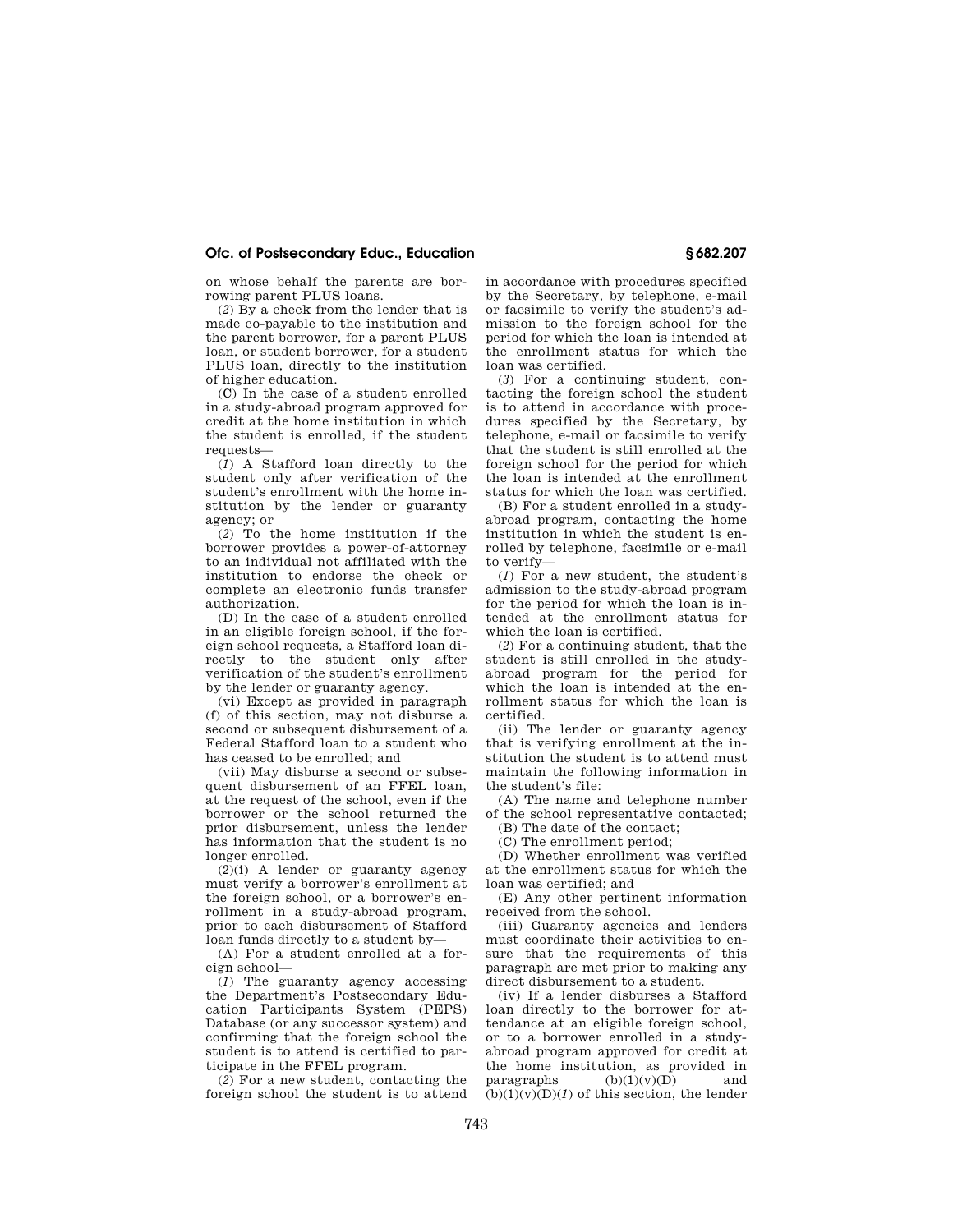## **Ofc. of Postsecondary Educ., Education § 682.207**

on whose behalf the parents are borrowing parent PLUS loans.

(*2*) By a check from the lender that is made co-payable to the institution and the parent borrower, for a parent PLUS loan, or student borrower, for a student PLUS loan, directly to the institution of higher education.

(C) In the case of a student enrolled in a study-abroad program approved for credit at the home institution in which the student is enrolled, if the student requests—

(*1*) A Stafford loan directly to the student only after verification of the student's enrollment with the home institution by the lender or guaranty agency; or

(*2*) To the home institution if the borrower provides a power-of-attorney to an individual not affiliated with the institution to endorse the check or complete an electronic funds transfer authorization.

(D) In the case of a student enrolled in an eligible foreign school, if the foreign school requests, a Stafford loan directly to the student only after verification of the student's enrollment by the lender or guaranty agency.

(vi) Except as provided in paragraph (f) of this section, may not disburse a second or subsequent disbursement of a Federal Stafford loan to a student who has ceased to be enrolled; and

(vii) May disburse a second or subsequent disbursement of an FFEL loan, at the request of the school, even if the borrower or the school returned the prior disbursement, unless the lender has information that the student is no longer enrolled.

 $(2)(i)$  A lender or guaranty agency must verify a borrower's enrollment at the foreign school, or a borrower's enrollment in a study-abroad program, prior to each disbursement of Stafford loan funds directly to a student by—

(A) For a student enrolled at a foreign school—

(*1*) The guaranty agency accessing the Department's Postsecondary Education Participants System (PEPS) Database (or any successor system) and confirming that the foreign school the student is to attend is certified to participate in the FFEL program.

(*2*) For a new student, contacting the foreign school the student is to attend in accordance with procedures specified by the Secretary, by telephone, e-mail or facsimile to verify the student's admission to the foreign school for the period for which the loan is intended at the enrollment status for which the loan was certified.

(*3*) For a continuing student, contacting the foreign school the student is to attend in accordance with procedures specified by the Secretary, by telephone, e-mail or facsimile to verify that the student is still enrolled at the foreign school for the period for which the loan is intended at the enrollment status for which the loan was certified.

(B) For a student enrolled in a studyabroad program, contacting the home institution in which the student is enrolled by telephone, facsimile or e-mail to verify—

(*1*) For a new student, the student's admission to the study-abroad program for the period for which the loan is intended at the enrollment status for which the loan is certified.

(*2*) For a continuing student, that the student is still enrolled in the studyabroad program for the period for which the loan is intended at the enrollment status for which the loan is certified.

(ii) The lender or guaranty agency that is verifying enrollment at the institution the student is to attend must maintain the following information in the student's file:

(A) The name and telephone number of the school representative contacted;

(B) The date of the contact;

(C) The enrollment period;

(D) Whether enrollment was verified at the enrollment status for which the loan was certified; and

(E) Any other pertinent information received from the school.

(iii) Guaranty agencies and lenders must coordinate their activities to ensure that the requirements of this paragraph are met prior to making any direct disbursement to a student.

(iv) If a lender disburses a Stafford loan directly to the borrower for attendance at an eligible foreign school, or to a borrower enrolled in a studyabroad program approved for credit at the home institution, as provided in paragraphs  $(b)(1)(v)(D)$  and  $(b)(1)(v)(D)(1)$  of this section, the lender